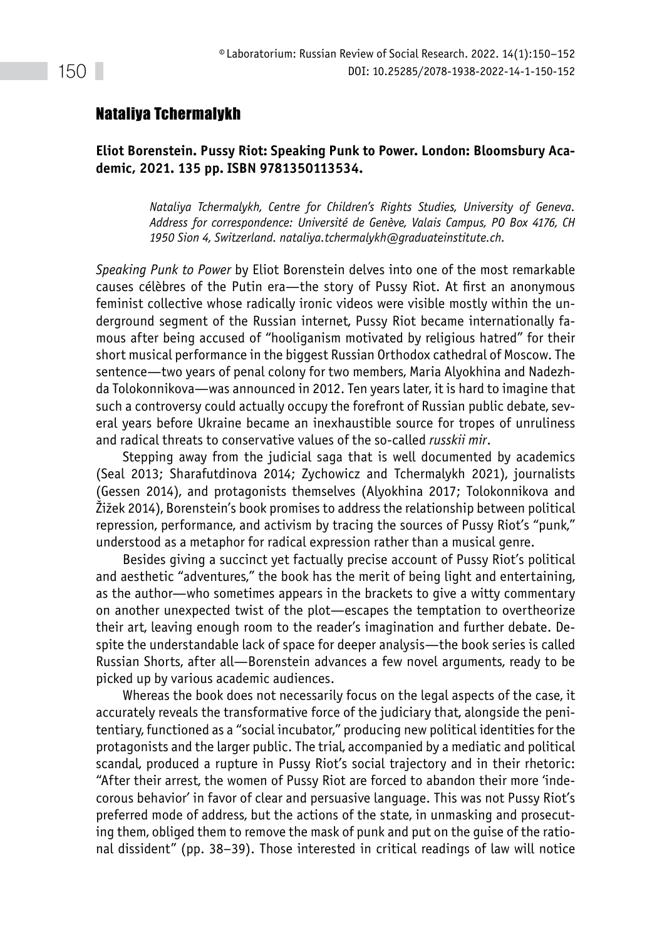## Nataliya Tchermalykh

## **Eliot Borenstein. Pussy Riot: Speaking Punk to Power. London: Bloomsbury Academic, 2021. 135 pp. ISBN 9781350113534.**

*Nataliya Tchermalykh, Centre for Children's Rights Studies, University of Geneva. Address for correspondence: Université de Genève, Valais Campus, PO Box 4176, CH 1950 Sion 4, Switzerland. [nataliya.tchermalykh@graduateinstitute.ch.](mailto:nataliya.tchermalykh@graduateinstitute.ch)*

*Speaking Punk to Power* by Eliot Borenstein delves into one of the most remarkable causes célèbres of the Putin era—the story of Pussy Riot. At first an anonymous feminist collective whose radically ironic videos were visible mostly within the underground segment of the Russian internet, Pussy Riot became internationally famous after being accused of "hooliganism motivated by religious hatred" for their short musical performance in the biggest Russian Orthodox cathedral of Moscow. The sentence—two years of penal colony for two members, Maria Alyokhina and Nadezhda Tolokonnikova—was announced in 2012. Ten years later, it is hard to imagine that such a controversy could actually occupy the forefront of Russian public debate, several years before Ukraine became an inexhaustible source for tropes of unruliness and radical threats to conservative values of the so-called *russkii mir*.

Stepping away from the judicial saga that is well documented by academics (Seal 2013; Sharafutdinova 2014; Zychowicz and Tchermalykh 2021), journalists (Gessen 2014), and protagonists themselves (Alyokhina 2017; Tolokonnikova and Žižek 2014), Borenstein's book promises to address the relationship between political repression, performance, and activism by tracing the sources of Pussy Riot's "punk," understood as a metaphor for radical expression rather than a musical genre.

Besides giving a succinct yet factually precise account of Pussy Riot's political and aesthetic "adventures," the book has the merit of being light and entertaining, as the author—who sometimes appears in the brackets to give a witty commentary on another unexpected twist of the plot—escapes the temptation to overtheorize their art, leaving enough room to the reader's imagination and further debate. Despite the understandable lack of space for deeper analysis—the book series is called Russian Shorts, after all—Borenstein advances a few novel arguments, ready to be picked up by various academic audiences.

Whereas the book does not necessarily focus on the legal aspects of the case, it accurately reveals the transformative force of the judiciary that, alongside the penitentiary, functioned as a "social incubator," producing new political identities for the protagonists and the larger public. The trial, accompanied by a mediatic and political scandal, produced a rupture in Pussy Riot's social trajectory and in their rhetoric: "After their arrest, the women of Pussy Riot are forced to abandon their more 'indecorous behavior' in favor of clear and persuasive language. This was not Pussy Riot's preferred mode of address, but the actions of the state, in unmasking and prosecuting them, obliged them to remove the mask of punk and put on the guise of the rational dissident" (pp. 38–39). Those interested in critical readings of law will notice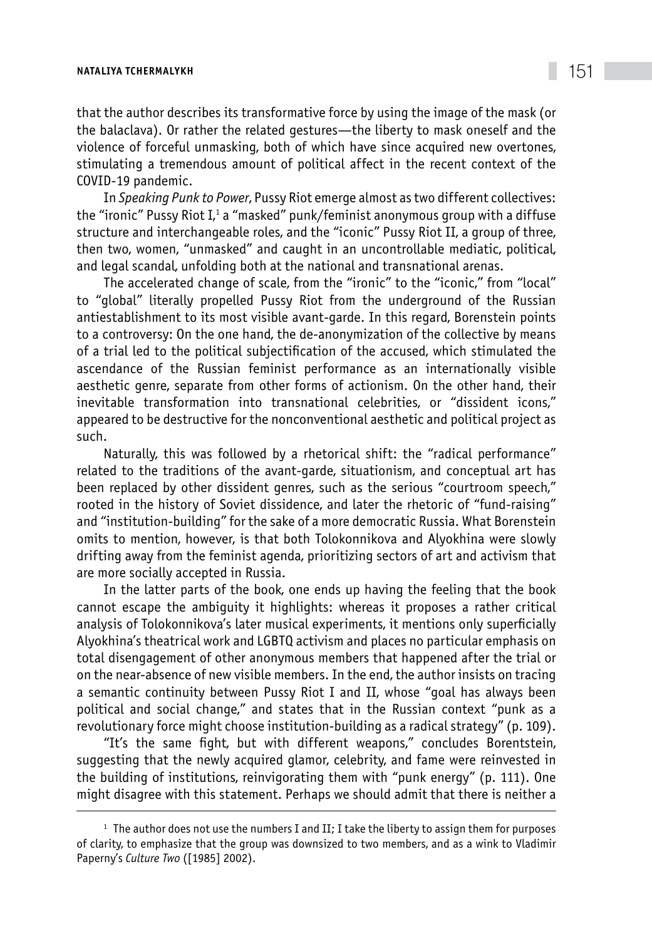## **NATALIYA TCHERMALYKH** 151

that the author describes its transformative force by using the image of the mask (or the balaclava). Or rather the related gestures—the liberty to mask oneself and the violence of forceful unmasking, both of which have since acquired new overtones, stimulating a tremendous amount of political affect in the recent context of the COVID-19 pandemic.

In *Speaking Punk to Power*, Pussy Riot emerge almost as two different collectives: the "ironic" Pussy Riot I, $^{\scriptscriptstyle 1}$  a "masked" punk/feminist anonymous group with a diffuse structure and interchangeable roles, and the "iconic" Pussy Riot II, a group of three, then two, women, "unmasked" and caught in an uncontrollable mediatic, political, and legal scandal, unfolding both at the national and transnational arenas.

The accelerated change of scale, from the "ironic" to the "iconic," from "local" to "global" literally propelled Pussy Riot from the underground of the Russian antiestablishment to its most visible avant-garde. In this regard, Borenstein points to a controversy: On the one hand, the de-anonymization of the collective by means of a trial led to the political subjectification of the accused, which stimulated the ascendance of the Russian feminist performance as an internationally visible aesthetic genre, separate from other forms of actionism. On the other hand, their inevitable transformation into transnational celebrities, or "dissident icons," appeared to be destructive for the nonconventional aesthetic and political project as such.

Naturally, this was followed by a rhetorical shift: the "radical performance" related to the traditions of the avant-garde, situationism, and conceptual art has been replaced by other dissident genres, such as the serious "courtroom speech," rooted in the history of Soviet dissidence, and later the rhetoric of "fund-raising" and "institution-building" for the sake of a more democratic Russia. What Borenstein omits to mention, however, is that both Tolokonnikova and Alyokhina were slowly drifting away from the feminist agenda, prioritizing sectors of art and activism that are more socially accepted in Russia.

In the latter parts of the book, one ends up having the feeling that the book cannot escape the ambiguity it highlights: whereas it proposes a rather critical analysis of Tolokonnikova's later musical experiments, it mentions only superficially Alyokhina's theatrical work and LGBTQ activism and places no particular emphasis on total disengagement of other anonymous members that happened after the trial or on the near-absence of new visible members. In the end, the author insists on tracing a semantic continuity between Pussy Riot I and II, whose "goal has always been political and social change," and states that in the Russian context "punk as a revolutionary force might choose institution-building as a radical strategy" (p. 109).

"It's the same fight, but with different weapons," concludes Borentstein, suggesting that the newly acquired glamor, celebrity, and fame were reinvested in the building of institutions, reinvigorating them with "punk energy" (p. 111). One might disagree with this statement. Perhaps we should admit that there is neither a

 $1$  The author does not use the numbers I and II; I take the liberty to assign them for purposes of clarity, to emphasize that the group was downsized to two members, and as a wink to Vladimir Paperny's *Culture Two* ([1985] 2002).